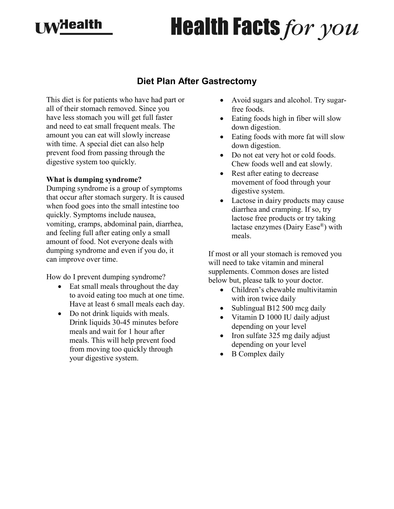## **MyHealth**

# **Health Facts for you**

### **Diet Plan After Gastrectomy**

This diet is for patients who have had part or all of their stomach removed. Since you have less stomach you will get full faster and need to eat small frequent meals. The amount you can eat will slowly increase with time. A special diet can also help prevent food from passing through the digestive system too quickly.

#### **What is dumping syndrome?**

Dumping syndrome is a group of symptoms that occur after stomach surgery. It is caused when food goes into the small intestine too quickly. Symptoms include nausea, vomiting, cramps, abdominal pain, diarrhea, and feeling full after eating only a small amount of food. Not everyone deals with dumping syndrome and even if you do, it can improve over time.

How do I prevent dumping syndrome?

- Eat small meals throughout the day to avoid eating too much at one time. Have at least 6 small meals each day.
- Do not drink liquids with meals. Drink liquids 30-45 minutes before meals and wait for 1 hour after meals. This will help prevent food from moving too quickly through your digestive system.
- Avoid sugars and alcohol. Try sugarfree foods.
- Eating foods high in fiber will slow down digestion.
- Eating foods with more fat will slow down digestion.
- Do not eat very hot or cold foods. Chew foods well and eat slowly.
- Rest after eating to decrease movement of food through your digestive system.
- Lactose in dairy products may cause diarrhea and cramping. If so, try lactose free products or try taking lactase enzymes (Dairy Ease®) with meals.

If most or all your stomach is removed you will need to take vitamin and mineral supplements. Common doses are listed below but, please talk to your doctor.

- Children's chewable multivitamin with iron twice daily
- Sublingual B12 500 mcg daily
- Vitamin D 1000 IU daily adjust depending on your level
- Iron sulfate 325 mg daily adjust depending on your level
- **B** Complex daily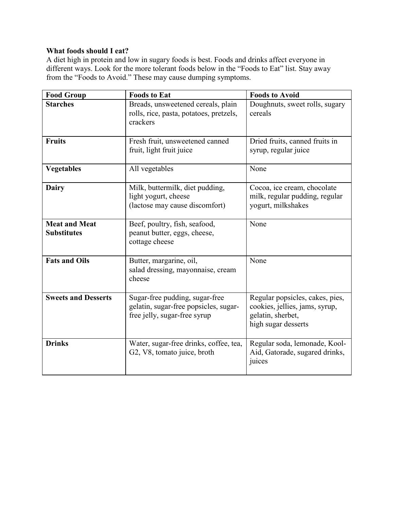#### **What foods should I eat?**

A diet high in protein and low in sugary foods is best. Foods and drinks affect everyone in different ways. Look for the more tolerant foods below in the "Foods to Eat" list. Stay away from the "Foods to Avoid." These may cause dumping symptoms.

| <b>Food Group</b>                          | <b>Foods to Eat</b>                                                                                     | <b>Foods to Avoid</b>                                                                                         |
|--------------------------------------------|---------------------------------------------------------------------------------------------------------|---------------------------------------------------------------------------------------------------------------|
| <b>Starches</b>                            | Breads, unsweetened cereals, plain<br>rolls, rice, pasta, potatoes, pretzels,<br>crackers               | Doughnuts, sweet rolls, sugary<br>cereals                                                                     |
| <b>Fruits</b>                              | Fresh fruit, unsweetened canned<br>fruit, light fruit juice                                             | Dried fruits, canned fruits in<br>syrup, regular juice                                                        |
| <b>Vegetables</b>                          | All vegetables                                                                                          | None                                                                                                          |
| <b>Dairy</b>                               | Milk, buttermilk, diet pudding,<br>light yogurt, cheese<br>(lactose may cause discomfort)               | Cocoa, ice cream, chocolate<br>milk, regular pudding, regular<br>yogurt, milkshakes                           |
| <b>Meat and Meat</b><br><b>Substitutes</b> | Beef, poultry, fish, seafood,<br>peanut butter, eggs, cheese,<br>cottage cheese                         | None                                                                                                          |
| <b>Fats and Oils</b>                       | Butter, margarine, oil,<br>salad dressing, mayonnaise, cream<br>cheese                                  | None                                                                                                          |
| <b>Sweets and Desserts</b>                 | Sugar-free pudding, sugar-free<br>gelatin, sugar-free popsicles, sugar-<br>free jelly, sugar-free syrup | Regular popsicles, cakes, pies,<br>cookies, jellies, jams, syrup,<br>gelatin, sherbet,<br>high sugar desserts |
| <b>Drinks</b>                              | Water, sugar-free drinks, coffee, tea,<br>G2, V8, tomato juice, broth                                   | Regular soda, lemonade, Kool-<br>Aid, Gatorade, sugared drinks,<br>juices                                     |